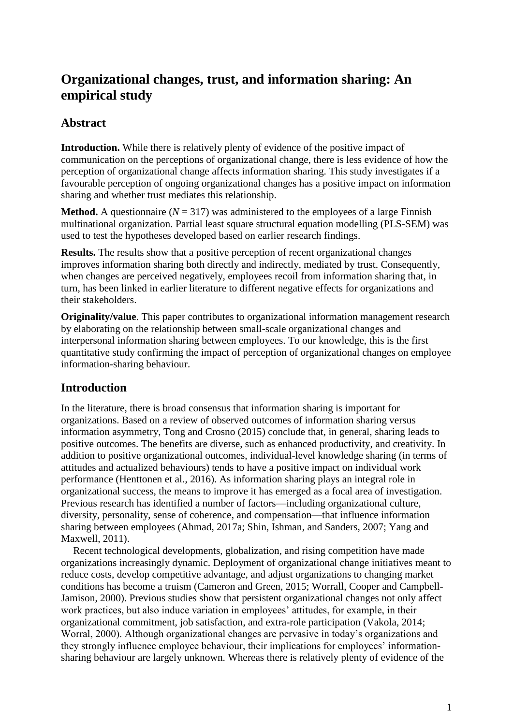# **Organizational changes, trust, and information sharing: An empirical study**

## **Abstract**

**Introduction.** While there is relatively plenty of evidence of the positive impact of communication on the perceptions of organizational change, there is less evidence of how the perception of organizational change affects information sharing. This study investigates if a favourable perception of ongoing organizational changes has a positive impact on information sharing and whether trust mediates this relationship.

**Method.** A questionnaire ( $N = 317$ ) was administered to the employees of a large Finnish multinational organization. Partial least square structural equation modelling (PLS-SEM) was used to test the hypotheses developed based on earlier research findings.

**Results.** The results show that a positive perception of recent organizational changes improves information sharing both directly and indirectly, mediated by trust. Consequently, when changes are perceived negatively, employees recoil from information sharing that, in turn, has been linked in earlier literature to different negative effects for organizations and their stakeholders.

**Originality/value**. This paper contributes to organizational information management research by elaborating on the relationship between small-scale organizational changes and interpersonal information sharing between employees. To our knowledge, this is the first quantitative study confirming the impact of perception of organizational changes on employee information-sharing behaviour.

## **Introduction**

In the literature, there is broad consensus that information sharing is important for organizations. Based on a review of observed outcomes of information sharing versus information asymmetry, Tong and Crosno (2015) conclude that, in general, sharing leads to positive outcomes. The benefits are diverse, such as enhanced productivity, and creativity. In addition to positive organizational outcomes, individual-level knowledge sharing (in terms of attitudes and actualized behaviours) tends to have a positive impact on individual work performance (Henttonen et al., 2016). As information sharing plays an integral role in organizational success, the means to improve it has emerged as a focal area of investigation. Previous research has identified a number of factors—including organizational culture, diversity, personality, sense of coherence, and compensation—that influence information sharing between employees (Ahmad, 2017a; Shin, Ishman, and Sanders, 2007; Yang and Maxwell, 2011).

Recent technological developments, globalization, and rising competition have made organizations increasingly dynamic. Deployment of organizational change initiatives meant to reduce costs, develop competitive advantage, and adjust organizations to changing market conditions has become a truism (Cameron and Green, 2015; Worrall, Cooper and Campbell-Jamison, 2000). Previous studies show that persistent organizational changes not only affect work practices, but also induce variation in employees' attitudes, for example, in their organizational commitment, job satisfaction, and extra-role participation (Vakola, 2014; Worral, 2000). Although organizational changes are pervasive in today's organizations and they strongly influence employee behaviour, their implications for employees' informationsharing behaviour are largely unknown. Whereas there is relatively plenty of evidence of the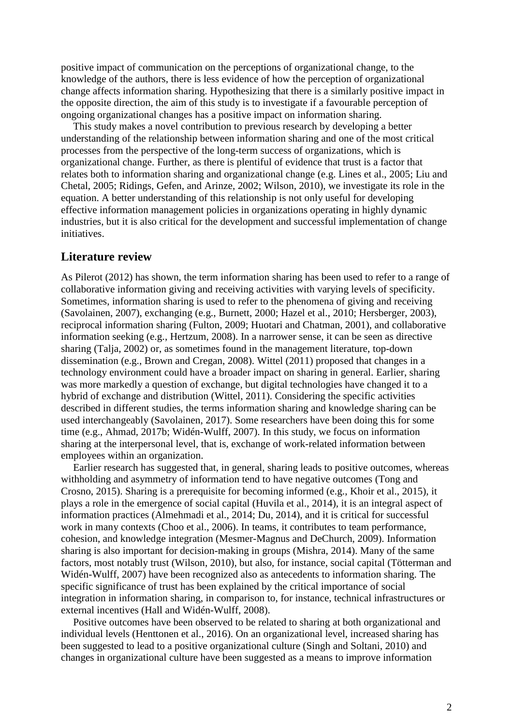positive impact of communication on the perceptions of organizational change, to the knowledge of the authors, there is less evidence of how the perception of organizational change affects information sharing. Hypothesizing that there is a similarly positive impact in the opposite direction, the aim of this study is to investigate if a favourable perception of ongoing organizational changes has a positive impact on information sharing.

This study makes a novel contribution to previous research by developing a better understanding of the relationship between information sharing and one of the most critical processes from the perspective of the long-term success of organizations, which is organizational change. Further, as there is plentiful of evidence that trust is a factor that relates both to information sharing and organizational change (e.g. Lines et al., 2005; Liu and Chetal, 2005; Ridings, Gefen, and Arinze, 2002; Wilson, 2010), we investigate its role in the equation. A better understanding of this relationship is not only useful for developing effective information management policies in organizations operating in highly dynamic industries, but it is also critical for the development and successful implementation of change initiatives.

### **Literature review**

As Pilerot (2012) has shown, the term information sharing has been used to refer to a range of collaborative information giving and receiving activities with varying levels of specificity. Sometimes, information sharing is used to refer to the phenomena of giving and receiving (Savolainen, 2007), exchanging (e.g., Burnett, 2000; Hazel et al., 2010; Hersberger, 2003), reciprocal information sharing (Fulton, 2009; Huotari and Chatman, 2001), and collaborative information seeking (e.g., Hertzum, 2008). In a narrower sense, it can be seen as directive sharing (Talja, 2002) or, as sometimes found in the management literature, top-down dissemination (e.g., Brown and Cregan, 2008). Wittel (2011) proposed that changes in a technology environment could have a broader impact on sharing in general. Earlier, sharing was more markedly a question of exchange, but digital technologies have changed it to a hybrid of exchange and distribution (Wittel, 2011). Considering the specific activities described in different studies, the terms information sharing and knowledge sharing can be used interchangeably (Savolainen, 2017). Some researchers have been doing this for some time (e.g., Ahmad, 2017b; Widén-Wulff, 2007). In this study, we focus on information sharing at the interpersonal level, that is, exchange of work-related information between employees within an organization.

Earlier research has suggested that, in general, sharing leads to positive outcomes, whereas withholding and asymmetry of information tend to have negative outcomes (Tong and Crosno, 2015). Sharing is a prerequisite for becoming informed (e.g., Khoir et al., 2015), it plays a role in the emergence of social capital (Huvila et al., 2014), it is an integral aspect of information practices (Almehmadi et al., 2014; Du, 2014), and it is critical for successful work in many contexts (Choo et al., 2006). In teams, it contributes to team performance, cohesion, and knowledge integration (Mesmer-Magnus and DeChurch, 2009). Information sharing is also important for decision-making in groups (Mishra, 2014). Many of the same factors, most notably trust (Wilson, 2010), but also, for instance, social capital (Tötterman and Widén-Wulff, 2007) have been recognized also as antecedents to information sharing. The specific significance of trust has been explained by the critical importance of social integration in information sharing, in comparison to, for instance, technical infrastructures or external incentives (Hall and Widén-Wulff, 2008).

Positive outcomes have been observed to be related to sharing at both organizational and individual levels (Henttonen et al., 2016). On an organizational level, increased sharing has been suggested to lead to a positive organizational culture (Singh and Soltani, 2010) and changes in organizational culture have been suggested as a means to improve information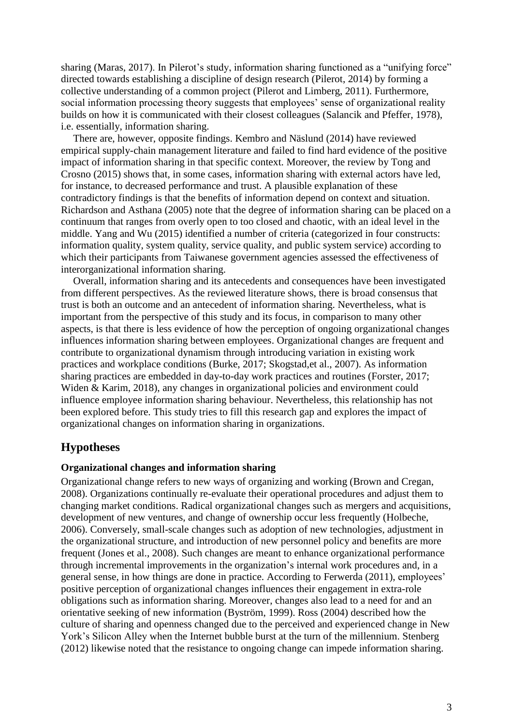sharing (Maras, 2017). In Pilerot's study, information sharing functioned as a "unifying force" directed towards establishing a discipline of design research (Pilerot, 2014) by forming a collective understanding of a common project (Pilerot and Limberg, 2011). Furthermore, social information processing theory suggests that employees' sense of organizational reality builds on how it is communicated with their closest colleagues (Salancik and Pfeffer, 1978), i.e. essentially, information sharing.

There are, however, opposite findings. Kembro and Näslund (2014) have reviewed empirical supply-chain management literature and failed to find hard evidence of the positive impact of information sharing in that specific context. Moreover, the review by Tong and Crosno (2015) shows that, in some cases, information sharing with external actors have led, for instance, to decreased performance and trust. A plausible explanation of these contradictory findings is that the benefits of information depend on context and situation. Richardson and Asthana (2005) note that the degree of information sharing can be placed on a continuum that ranges from overly open to too closed and chaotic, with an ideal level in the middle. Yang and Wu (2015) identified a number of criteria (categorized in four constructs: information quality, system quality, service quality, and public system service) according to which their participants from Taiwanese government agencies assessed the effectiveness of interorganizational information sharing.

Overall, information sharing and its antecedents and consequences have been investigated from different perspectives. As the reviewed literature shows, there is broad consensus that trust is both an outcome and an antecedent of information sharing. Nevertheless, what is important from the perspective of this study and its focus, in comparison to many other aspects, is that there is less evidence of how the perception of ongoing organizational changes influences information sharing between employees. Organizational changes are frequent and contribute to organizational dynamism through introducing variation in existing work practices and workplace conditions (Burke, 2017; Skogstad,et al., 2007). As information sharing practices are embedded in day-to-day work practices and routines (Forster, 2017; Widen & Karim, 2018), any changes in organizational policies and environment could influence employee information sharing behaviour. Nevertheless, this relationship has not been explored before. This study tries to fill this research gap and explores the impact of organizational changes on information sharing in organizations.

## **Hypotheses**

### **Organizational changes and information sharing**

Organizational change refers to new ways of organizing and working (Brown and Cregan, 2008). Organizations continually re-evaluate their operational procedures and adjust them to changing market conditions. Radical organizational changes such as mergers and acquisitions, development of new ventures, and change of ownership occur less frequently (Holbeche, 2006). Conversely, small-scale changes such as adoption of new technologies, adjustment in the organizational structure, and introduction of new personnel policy and benefits are more frequent (Jones et al., 2008). Such changes are meant to enhance organizational performance through incremental improvements in the organization's internal work procedures and, in a general sense, in how things are done in practice. According to Ferwerda (2011), employees' positive perception of organizational changes influences their engagement in extra-role obligations such as information sharing. Moreover, changes also lead to a need for and an orientative seeking of new information (Byström, 1999). Ross (2004) described how the culture of sharing and openness changed due to the perceived and experienced change in New York's Silicon Alley when the Internet bubble burst at the turn of the millennium. Stenberg (2012) likewise noted that the resistance to ongoing change can impede information sharing.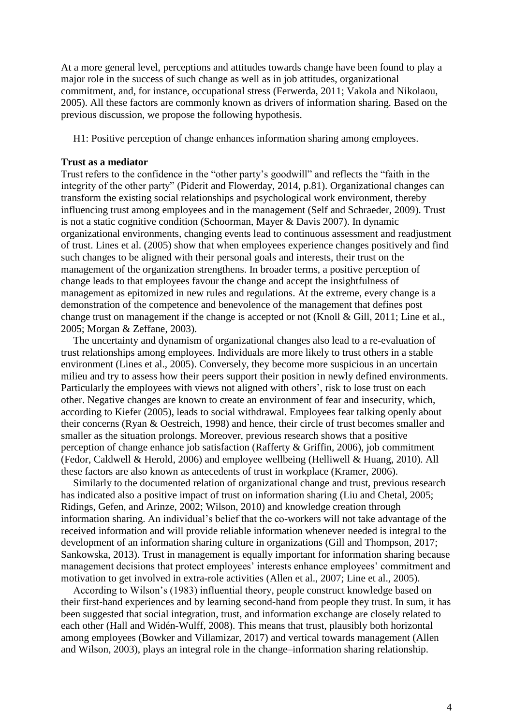At a more general level, perceptions and attitudes towards change have been found to play a major role in the success of such change as well as in job attitudes, organizational commitment, and, for instance, occupational stress (Ferwerda, 2011; Vakola and Nikolaou, 2005). All these factors are commonly known as drivers of information sharing. Based on the previous discussion, we propose the following hypothesis.

H1: Positive perception of change enhances information sharing among employees.

#### **Trust as a mediator**

Trust refers to the confidence in the "other party's goodwill" and reflects the "faith in the integrity of the other party" (Piderit and Flowerday, 2014, p.81). Organizational changes can transform the existing social relationships and psychological work environment, thereby influencing trust among employees and in the management (Self and Schraeder, 2009). Trust is not a static cognitive condition (Schoorman, Mayer & Davis 2007). In dynamic organizational environments, changing events lead to continuous assessment and readjustment of trust. Lines et al. (2005) show that when employees experience changes positively and find such changes to be aligned with their personal goals and interests, their trust on the management of the organization strengthens. In broader terms, a positive perception of change leads to that employees favour the change and accept the insightfulness of management as epitomized in new rules and regulations. At the extreme, every change is a demonstration of the competence and benevolence of the management that defines post change trust on management if the change is accepted or not (Knoll & Gill, 2011; Line et al., 2005; Morgan & Zeffane, 2003).

The uncertainty and dynamism of organizational changes also lead to a re-evaluation of trust relationships among employees. Individuals are more likely to trust others in a stable environment (Lines et al., 2005). Conversely, they become more suspicious in an uncertain milieu and try to assess how their peers support their position in newly defined environments. Particularly the employees with views not aligned with others', risk to lose trust on each other. Negative changes are known to create an environment of fear and insecurity, which, according to Kiefer (2005), leads to social withdrawal. Employees fear talking openly about their concerns (Ryan & Oestreich, 1998) and hence, their circle of trust becomes smaller and smaller as the situation prolongs. Moreover, previous research shows that a positive perception of change enhance job satisfaction (Rafferty & Griffin, 2006), job commitment (Fedor, Caldwell & Herold, 2006) and employee wellbeing (Helliwell & Huang, 2010). All these factors are also known as antecedents of trust in workplace (Kramer, 2006).

Similarly to the documented relation of organizational change and trust, previous research has indicated also a positive impact of trust on information sharing (Liu and Chetal, 2005; Ridings, Gefen, and Arinze, 2002; Wilson, 2010) and knowledge creation through information sharing. An individual's belief that the co-workers will not take advantage of the received information and will provide reliable information whenever needed is integral to the development of an information sharing culture in organizations (Gill and Thompson, 2017; Sankowska, 2013). Trust in management is equally important for information sharing because management decisions that protect employees' interests enhance employees' commitment and motivation to get involved in extra-role activities (Allen et al., 2007; Line et al., 2005).

According to Wilson's (1983) influential theory, people construct knowledge based on their first-hand experiences and by learning second-hand from people they trust. In sum, it has been suggested that social integration, trust, and information exchange are closely related to each other (Hall and Widén-Wulff, 2008). This means that trust, plausibly both horizontal among employees (Bowker and Villamizar, 2017) and vertical towards management (Allen and Wilson, 2003), plays an integral role in the change–information sharing relationship.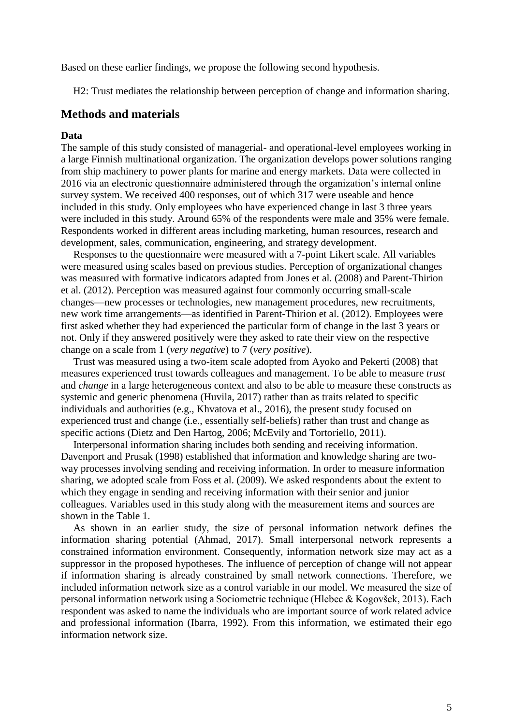Based on these earlier findings, we propose the following second hypothesis.

H2: Trust mediates the relationship between perception of change and information sharing.

### **Methods and materials**

#### **Data**

The sample of this study consisted of managerial- and operational-level employees working in a large Finnish multinational organization. The organization develops power solutions ranging from ship machinery to power plants for marine and energy markets. Data were collected in 2016 via an electronic questionnaire administered through the organization's internal online survey system. We received 400 responses, out of which 317 were useable and hence included in this study. Only employees who have experienced change in last 3 three years were included in this study. Around 65% of the respondents were male and 35% were female. Respondents worked in different areas including marketing, human resources, research and development, sales, communication, engineering, and strategy development.

Responses to the questionnaire were measured with a 7-point Likert scale. All variables were measured using scales based on previous studies. Perception of organizational changes was measured with formative indicators adapted from Jones et al. (2008) and Parent-Thirion et al. (2012). Perception was measured against four commonly occurring small-scale changes—new processes or technologies, new management procedures, new recruitments, new work time arrangements—as identified in Parent-Thirion et al. (2012). Employees were first asked whether they had experienced the particular form of change in the last 3 years or not. Only if they answered positively were they asked to rate their view on the respective change on a scale from 1 (*very negative*) to 7 (*very positive*).

Trust was measured using a two-item scale adopted from Ayoko and Pekerti (2008) that measures experienced trust towards colleagues and management. To be able to measure *trust* and *change* in a large heterogeneous context and also to be able to measure these constructs as systemic and generic phenomena (Huvila, 2017) rather than as traits related to specific individuals and authorities (e.g., Khvatova et al., 2016), the present study focused on experienced trust and change (i.e., essentially self-beliefs) rather than trust and change as specific actions (Dietz and Den Hartog, 2006; McEvily and Tortoriello, 2011).

Interpersonal information sharing includes both sending and receiving information. Davenport and Prusak (1998) established that information and knowledge sharing are twoway processes involving sending and receiving information. In order to measure information sharing, we adopted scale from Foss et al. (2009). We asked respondents about the extent to which they engage in sending and receiving information with their senior and junior colleagues. Variables used in this study along with the measurement items and sources are shown in the Table 1.

As shown in an earlier study, the size of personal information network defines the information sharing potential (Ahmad, 2017). Small interpersonal network represents a constrained information environment. Consequently, information network size may act as a suppressor in the proposed hypotheses. The influence of perception of change will not appear if information sharing is already constrained by small network connections. Therefore, we included information network size as a control variable in our model. We measured the size of personal information network using a Sociometric technique (Hlebec & Kogovšek, 2013). Each respondent was asked to name the individuals who are important source of work related advice and professional information (Ibarra, 1992). From this information, we estimated their ego information network size.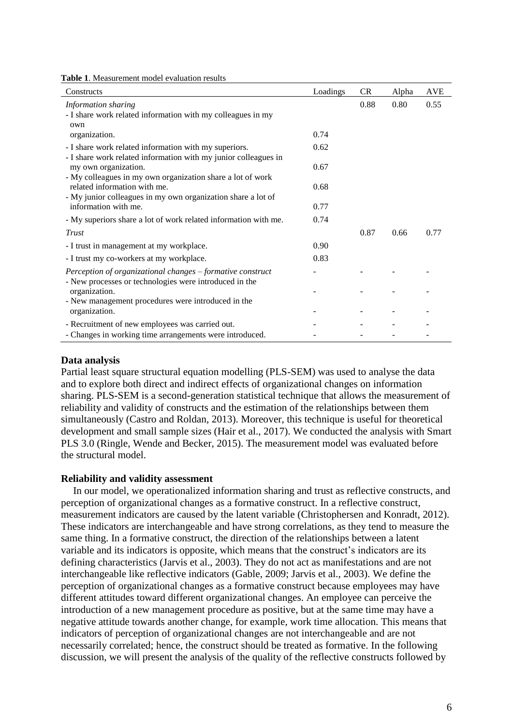| <b>Table 1.</b> Measurement model evaluation results |
|------------------------------------------------------|
|------------------------------------------------------|

| Constructs                                                                                                                                            | Loadings | <b>CR</b> | Alpha | <b>AVE</b> |
|-------------------------------------------------------------------------------------------------------------------------------------------------------|----------|-----------|-------|------------|
| Information sharing<br>- I share work related information with my colleagues in my<br>own<br>organization.                                            | 0.74     | 0.88      | 0.80  | 0.55       |
| - I share work related information with my superiors.                                                                                                 | 0.62     |           |       |            |
| - I share work related information with my junior colleagues in<br>my own organization.<br>- My colleagues in my own organization share a lot of work | 0.67     |           |       |            |
| related information with me.                                                                                                                          | 0.68     |           |       |            |
| - My junior colleagues in my own organization share a lot of<br>information with me.                                                                  | 0.77     |           |       |            |
| - My superiors share a lot of work related information with me.                                                                                       | 0.74     |           |       |            |
| Trust                                                                                                                                                 |          | 0.87      | 0.66  | 0.77       |
| - I trust in management at my workplace.                                                                                                              | 0.90     |           |       |            |
| - I trust my co-workers at my workplace.                                                                                                              | 0.83     |           |       |            |
| Perception of organizational changes - formative construct<br>- New processes or technologies were introduced in the                                  |          |           |       |            |
| organization.                                                                                                                                         |          |           |       |            |
| - New management procedures were introduced in the<br>organization.                                                                                   |          |           |       |            |
| - Recruitment of new employees was carried out.                                                                                                       |          |           |       |            |
| - Changes in working time arrangements were introduced.                                                                                               |          |           |       |            |

### **Data analysis**

Partial least square structural equation modelling (PLS-SEM) was used to analyse the data and to explore both direct and indirect effects of organizational changes on information sharing. PLS-SEM is a second-generation statistical technique that allows the measurement of reliability and validity of constructs and the estimation of the relationships between them simultaneously (Castro and Roldan, 2013). Moreover, this technique is useful for theoretical development and small sample sizes (Hair et al., 2017). We conducted the analysis with Smart PLS 3.0 (Ringle, Wende and Becker, 2015). The measurement model was evaluated before the structural model.

#### **Reliability and validity assessment**

In our model, we operationalized information sharing and trust as reflective constructs, and perception of organizational changes as a formative construct. In a reflective construct, measurement indicators are caused by the latent variable (Christophersen and Konradt, 2012). These indicators are interchangeable and have strong correlations, as they tend to measure the same thing. In a formative construct, the direction of the relationships between a latent variable and its indicators is opposite, which means that the construct's indicators are its defining characteristics (Jarvis et al., 2003). They do not act as manifestations and are not interchangeable like reflective indicators (Gable, 2009; Jarvis et al., 2003). We define the perception of organizational changes as a formative construct because employees may have different attitudes toward different organizational changes. An employee can perceive the introduction of a new management procedure as positive, but at the same time may have a negative attitude towards another change, for example, work time allocation. This means that indicators of perception of organizational changes are not interchangeable and are not necessarily correlated; hence, the construct should be treated as formative. In the following discussion, we will present the analysis of the quality of the reflective constructs followed by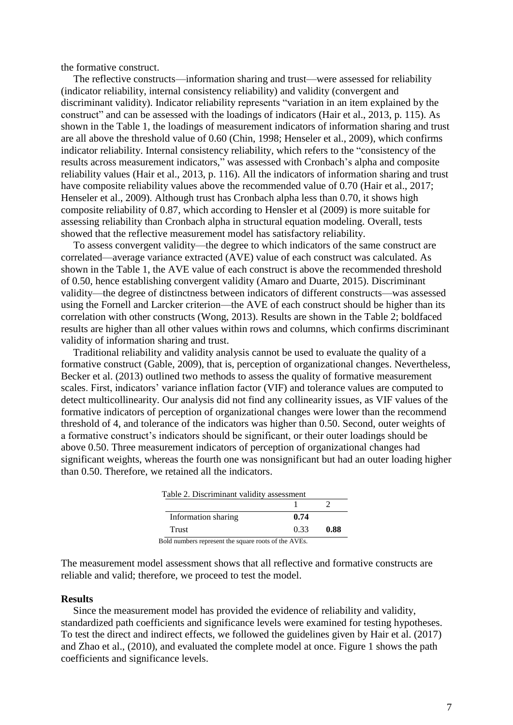the formative construct.

The reflective constructs—information sharing and trust—were assessed for reliability (indicator reliability, internal consistency reliability) and validity (convergent and discriminant validity). Indicator reliability represents "variation in an item explained by the construct" and can be assessed with the loadings of indicators (Hair et al., 2013, p. 115). As shown in the Table 1, the loadings of measurement indicators of information sharing and trust are all above the threshold value of 0.60 (Chin, 1998; Henseler et al., 2009), which confirms indicator reliability. Internal consistency reliability, which refers to the "consistency of the results across measurement indicators," was assessed with Cronbach's alpha and composite reliability values (Hair et al., 2013, p. 116). All the indicators of information sharing and trust have composite reliability values above the recommended value of 0.70 (Hair et al., 2017; Henseler et al., 2009). Although trust has Cronbach alpha less than 0.70, it shows high composite reliability of 0.87, which according to Hensler et al (2009) is more suitable for assessing reliability than Cronbach alpha in structural equation modeling. Overall, tests showed that the reflective measurement model has satisfactory reliability.

To assess convergent validity—the degree to which indicators of the same construct are correlated—average variance extracted (AVE) value of each construct was calculated. As shown in the Table 1, the AVE value of each construct is above the recommended threshold of 0.50, hence establishing convergent validity (Amaro and Duarte, 2015). Discriminant validity—the degree of distinctness between indicators of different constructs—was assessed using the Fornell and Larcker criterion—the AVE of each construct should be higher than its correlation with other constructs (Wong, 2013). Results are shown in the Table 2; boldfaced results are higher than all other values within rows and columns, which confirms discriminant validity of information sharing and trust.

Traditional reliability and validity analysis cannot be used to evaluate the quality of a formative construct (Gable, 2009), that is, perception of organizational changes. Nevertheless, Becker et al. (2013) outlined two methods to assess the quality of formative measurement scales. First, indicators' variance inflation factor (VIF) and tolerance values are computed to detect multicollinearity. Our analysis did not find any collinearity issues, as VIF values of the formative indicators of perception of organizational changes were lower than the recommend threshold of 4, and tolerance of the indicators was higher than 0.50. Second, outer weights of a formative construct's indicators should be significant, or their outer loadings should be above 0.50. Three measurement indicators of perception of organizational changes had significant weights, whereas the fourth one was nonsignificant but had an outer loading higher than 0.50. Therefore, we retained all the indicators.

| Table 2. Discriminant validity assessment            |      |      |  |  |  |
|------------------------------------------------------|------|------|--|--|--|
|                                                      |      |      |  |  |  |
| Information sharing                                  | 0.74 |      |  |  |  |
| Trust                                                | 0.33 | 0.88 |  |  |  |
| Bold numbers represent the square roots of the AVEs. |      |      |  |  |  |

The measurement model assessment shows that all reflective and formative constructs are reliable and valid; therefore, we proceed to test the model.

#### **Results**

Since the measurement model has provided the evidence of reliability and validity, standardized path coefficients and significance levels were examined for testing hypotheses. To test the direct and indirect effects, we followed the guidelines given by Hair et al. (2017) and Zhao et al., (2010), and evaluated the complete model at once. Figure 1 shows the path coefficients and significance levels.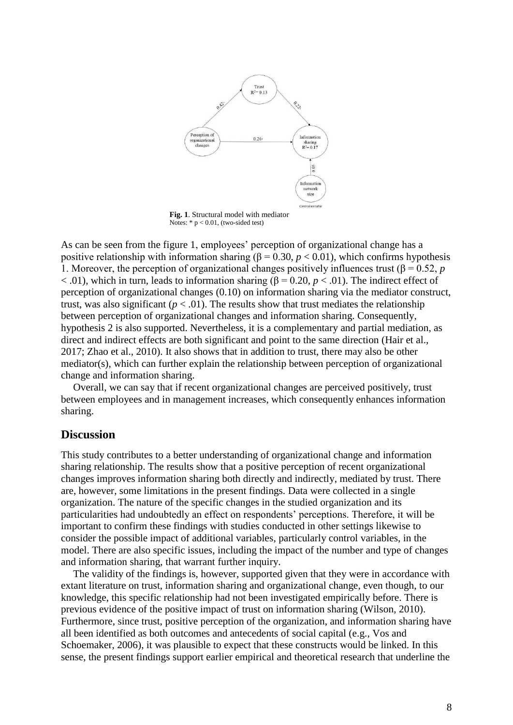

**Fig. 1**. Structural model with mediator Notes:  $* p < 0.01$ , (two-sided test)

As can be seen from the figure 1, employees' perception of organizational change has a positive relationship with information sharing ( $\beta = 0.30$ ,  $p < 0.01$ ), which confirms hypothesis 1. Moreover, the perception of organizational changes positively influences trust ( $\beta$  = 0.52, *p*  $<$ .01), which in turn, leads to information sharing ( $\beta$  = 0.20,  $p$  < .01). The indirect effect of perception of organizational changes (0.10) on information sharing via the mediator construct, trust, was also significant ( $p < .01$ ). The results show that trust mediates the relationship between perception of organizational changes and information sharing. Consequently, hypothesis 2 is also supported. Nevertheless, it is a complementary and partial mediation, as direct and indirect effects are both significant and point to the same direction (Hair et al., 2017; Zhao et al., 2010). It also shows that in addition to trust, there may also be other mediator(s), which can further explain the relationship between perception of organizational change and information sharing.

Overall, we can say that if recent organizational changes are perceived positively, trust between employees and in management increases, which consequently enhances information sharing.

## **Discussion**

This study contributes to a better understanding of organizational change and information sharing relationship. The results show that a positive perception of recent organizational changes improves information sharing both directly and indirectly, mediated by trust. There are, however, some limitations in the present findings. Data were collected in a single organization. The nature of the specific changes in the studied organization and its particularities had undoubtedly an effect on respondents' perceptions. Therefore, it will be important to confirm these findings with studies conducted in other settings likewise to consider the possible impact of additional variables, particularly control variables, in the model. There are also specific issues, including the impact of the number and type of changes and information sharing, that warrant further inquiry.

The validity of the findings is, however, supported given that they were in accordance with extant literature on trust, information sharing and organizational change, even though, to our knowledge, this specific relationship had not been investigated empirically before. There is previous evidence of the positive impact of trust on information sharing (Wilson, 2010). Furthermore, since trust, positive perception of the organization, and information sharing have all been identified as both outcomes and antecedents of social capital (e.g., Vos and Schoemaker, 2006), it was plausible to expect that these constructs would be linked. In this sense, the present findings support earlier empirical and theoretical research that underline the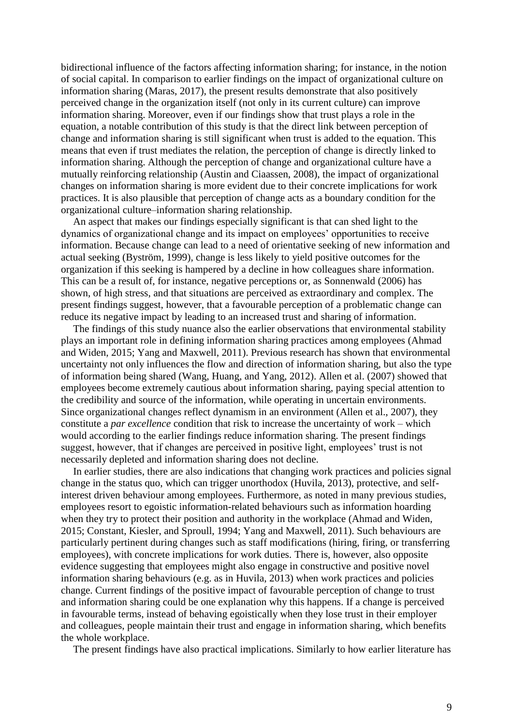bidirectional influence of the factors affecting information sharing; for instance, in the notion of social capital. In comparison to earlier findings on the impact of organizational culture on information sharing (Maras, 2017), the present results demonstrate that also positively perceived change in the organization itself (not only in its current culture) can improve information sharing. Moreover, even if our findings show that trust plays a role in the equation, a notable contribution of this study is that the direct link between perception of change and information sharing is still significant when trust is added to the equation. This means that even if trust mediates the relation, the perception of change is directly linked to information sharing. Although the perception of change and organizational culture have a mutually reinforcing relationship (Austin and Ciaassen, 2008), the impact of organizational changes on information sharing is more evident due to their concrete implications for work practices. It is also plausible that perception of change acts as a boundary condition for the organizational culture–information sharing relationship.

An aspect that makes our findings especially significant is that can shed light to the dynamics of organizational change and its impact on employees' opportunities to receive information. Because change can lead to a need of orientative seeking of new information and actual seeking (Byström, 1999), change is less likely to yield positive outcomes for the organization if this seeking is hampered by a decline in how colleagues share information. This can be a result of, for instance, negative perceptions or, as Sonnenwald (2006) has shown, of high stress, and that situations are perceived as extraordinary and complex. The present findings suggest, however, that a favourable perception of a problematic change can reduce its negative impact by leading to an increased trust and sharing of information.

The findings of this study nuance also the earlier observations that environmental stability plays an important role in defining information sharing practices among employees (Ahmad and Widen, 2015; Yang and Maxwell, 2011). Previous research has shown that environmental uncertainty not only influences the flow and direction of information sharing, but also the type of information being shared (Wang, Huang, and Yang, 2012). Allen et al. (2007) showed that employees become extremely cautious about information sharing, paying special attention to the credibility and source of the information, while operating in uncertain environments. Since organizational changes reflect dynamism in an environment (Allen et al., 2007), they constitute a *par excellence* condition that risk to increase the uncertainty of work – which would according to the earlier findings reduce information sharing. The present findings suggest, however, that if changes are perceived in positive light, employees' trust is not necessarily depleted and information sharing does not decline.

In earlier studies, there are also indications that changing work practices and policies signal change in the status quo, which can trigger unorthodox (Huvila, 2013), protective, and selfinterest driven behaviour among employees. Furthermore, as noted in many previous studies, employees resort to egoistic information-related behaviours such as information hoarding when they try to protect their position and authority in the workplace (Ahmad and Widen, 2015; Constant, Kiesler, and Sproull, 1994; Yang and Maxwell, 2011). Such behaviours are particularly pertinent during changes such as staff modifications (hiring, firing, or transferring employees), with concrete implications for work duties. There is, however, also opposite evidence suggesting that employees might also engage in constructive and positive novel information sharing behaviours (e.g. as in Huvila, 2013) when work practices and policies change. Current findings of the positive impact of favourable perception of change to trust and information sharing could be one explanation why this happens. If a change is perceived in favourable terms, instead of behaving egoistically when they lose trust in their employer and colleagues, people maintain their trust and engage in information sharing, which benefits the whole workplace.

The present findings have also practical implications. Similarly to how earlier literature has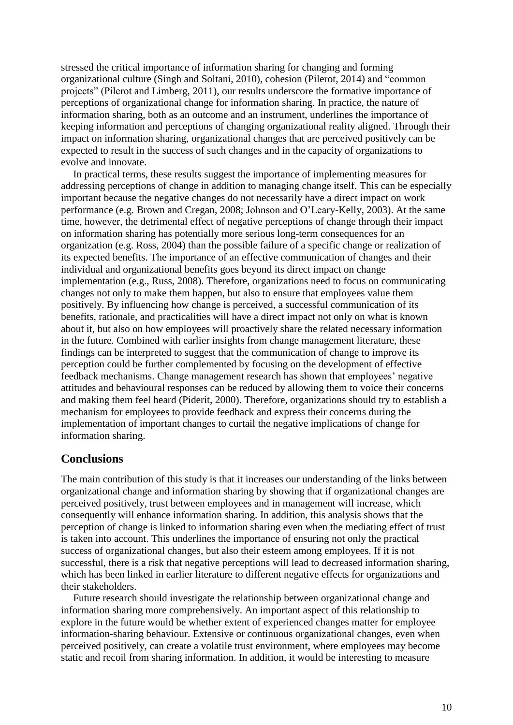stressed the critical importance of information sharing for changing and forming organizational culture (Singh and Soltani, 2010), cohesion (Pilerot, 2014) and "common projects" (Pilerot and Limberg, 2011), our results underscore the formative importance of perceptions of organizational change for information sharing. In practice, the nature of information sharing, both as an outcome and an instrument, underlines the importance of keeping information and perceptions of changing organizational reality aligned. Through their impact on information sharing, organizational changes that are perceived positively can be expected to result in the success of such changes and in the capacity of organizations to evolve and innovate.

In practical terms, these results suggest the importance of implementing measures for addressing perceptions of change in addition to managing change itself. This can be especially important because the negative changes do not necessarily have a direct impact on work performance (e.g. Brown and Cregan, 2008; Johnson and O'Leary-Kelly, 2003). At the same time, however, the detrimental effect of negative perceptions of change through their impact on information sharing has potentially more serious long-term consequences for an organization (e.g. Ross, 2004) than the possible failure of a specific change or realization of its expected benefits. The importance of an effective communication of changes and their individual and organizational benefits goes beyond its direct impact on change implementation (e.g., Russ, 2008). Therefore, organizations need to focus on communicating changes not only to make them happen, but also to ensure that employees value them positively. By influencing how change is perceived, a successful communication of its benefits, rationale, and practicalities will have a direct impact not only on what is known about it, but also on how employees will proactively share the related necessary information in the future. Combined with earlier insights from change management literature, these findings can be interpreted to suggest that the communication of change to improve its perception could be further complemented by focusing on the development of effective feedback mechanisms. Change management research has shown that employees' negative attitudes and behavioural responses can be reduced by allowing them to voice their concerns and making them feel heard (Piderit, 2000). Therefore, organizations should try to establish a mechanism for employees to provide feedback and express their concerns during the implementation of important changes to curtail the negative implications of change for information sharing.

## **Conclusions**

The main contribution of this study is that it increases our understanding of the links between organizational change and information sharing by showing that if organizational changes are perceived positively, trust between employees and in management will increase, which consequently will enhance information sharing. In addition, this analysis shows that the perception of change is linked to information sharing even when the mediating effect of trust is taken into account. This underlines the importance of ensuring not only the practical success of organizational changes, but also their esteem among employees. If it is not successful, there is a risk that negative perceptions will lead to decreased information sharing, which has been linked in earlier literature to different negative effects for organizations and their stakeholders.

Future research should investigate the relationship between organizational change and information sharing more comprehensively. An important aspect of this relationship to explore in the future would be whether extent of experienced changes matter for employee information-sharing behaviour. Extensive or continuous organizational changes, even when perceived positively, can create a volatile trust environment, where employees may become static and recoil from sharing information. In addition, it would be interesting to measure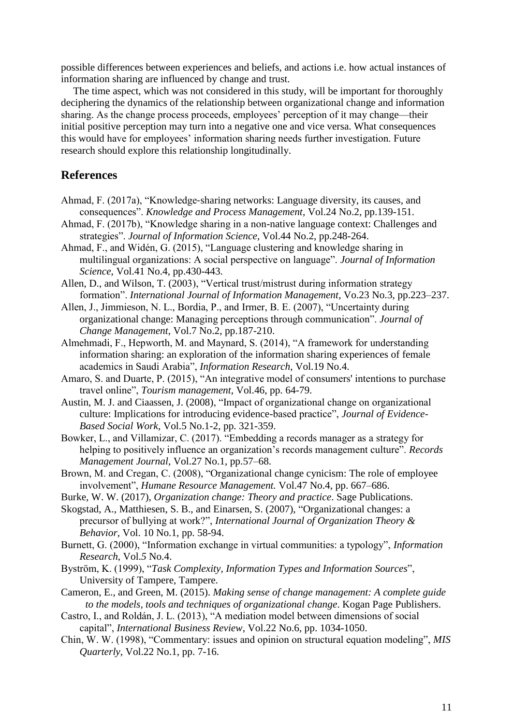possible differences between experiences and beliefs, and actions i.e. how actual instances of information sharing are influenced by change and trust.

The time aspect, which was not considered in this study, will be important for thoroughly deciphering the dynamics of the relationship between organizational change and information sharing. As the change process proceeds, employees' perception of it may change—their initial positive perception may turn into a negative one and vice versa. What consequences this would have for employees' information sharing needs further investigation. Future research should explore this relationship longitudinally.

## **References**

- Ahmad, F. (2017a), "Knowledge‐sharing networks: Language diversity, its causes, and consequences". *Knowledge and Process Management*, Vol.24 No.2, pp.139-151.
- Ahmad, F. (2017b), "Knowledge sharing in a non-native language context: Challenges and strategies". *Journal of Information Science*, Vol.44 No.2, pp.248-264.
- Ahmad, F., and Widén, G. (2015), "Language clustering and knowledge sharing in multilingual organizations: A social perspective on language". *Journal of Information Science*, Vol.41 No.4, pp.430-443.
- Allen, D., and Wilson, T. (2003), "Vertical trust/mistrust during information strategy formation". *International Journal of Information Management*, Vo.23 No.3, pp.223–237.
- Allen, J., Jimmieson, N. L., Bordia, P., and Irmer, B. E. (2007), "Uncertainty during organizational change: Managing perceptions through communication". *Journal of Change Management*, Vol.7 No.2, pp.187-210.
- Almehmadi, F., Hepworth, M. and Maynard, S. (2014), "A framework for understanding information sharing: an exploration of the information sharing experiences of female academics in Saudi Arabia", *Information Research*, Vol.19 No.4.
- Amaro, S. and Duarte, P. (2015), "An integrative model of consumers' intentions to purchase travel online", *Tourism management*, Vol.46, pp. 64-79.
- Austin, M. J. and Ciaassen, J. (2008), "Impact of organizational change on organizational culture: Implications for introducing evidence-based practice", *Journal of Evidence-Based Social Work*, Vol.5 No.1-2, pp. 321-359.
- Bowker, L., and Villamizar, C. (2017). "Embedding a records manager as a strategy for helping to positively influence an organization's records management culture". *Records Management Journal*, Vol.27 No.1, pp.57–68.
- Brown, M. and Cregan, C. (2008), "Organizational change cynicism: The role of employee involvement", *Humane Resource Management.* Vol.47 No.4, pp. 667–686.
- Burke, W. W. (2017), *Organization change: Theory and practice*. Sage Publications.
- Skogstad, A., Matthiesen, S. B., and Einarsen, S. (2007), "Organizational changes: a precursor of bullying at work?", *International Journal of Organization Theory & Behavior*, Vol. 10 No.1, pp. 58-94.
- Burnett, G. (2000), "Information exchange in virtual communities: a typology", *Information Research*, Vol.*5* No.4.
- Byström, K. (1999), "*Task Complexity, Information Types and Information Sources*", University of Tampere, Tampere.
- Cameron, E., and Green, M. (2015). *Making sense of change management: A complete guide to the models, tools and techniques of organizational change*. Kogan Page Publishers.
- Castro, I., and Roldán, J. L. (2013), "A mediation model between dimensions of social capital", *International Business Review*, Vol.22 No.6, pp. 1034-1050.
- Chin, W. W. (1998), "Commentary: issues and opinion on structural equation modeling", *MIS Quarterly*, Vol.22 No.1, pp. 7-16.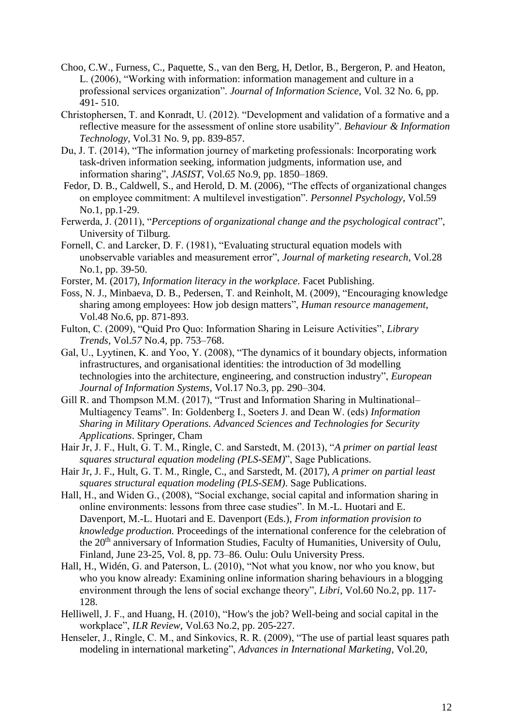- Choo, C.W., Furness, C., Paquette, S., van den Berg, H, Detlor, B., Bergeron, P. and Heaton, L. (2006), "Working with information: information management and culture in a professional services organization". *Journal of Information Science*, Vol. 32 No. 6, pp. 491- 510.
- Christophersen, T. and Konradt, U. (2012). "Development and validation of a formative and a reflective measure for the assessment of online store usability". *Behaviour & Information Technology*, Vol.31 No. 9, pp. 839-857.
- Du, J. T. (2014), "The information journey of marketing professionals: Incorporating work task-driven information seeking, information judgments, information use, and information sharing", *JASIST*, Vol.*65* No.9, pp. 1850–1869.
- Fedor, D. B., Caldwell, S., and Herold, D. M. (2006), "The effects of organizational changes on employee commitment: A multilevel investigation". *Personnel Psychology*, Vol.59 No.1, pp.1-29.
- Ferwerda, J. (2011), "*Perceptions of organizational change and the psychological contract*", University of Tilburg.
- Fornell, C. and Larcker, D. F. (1981), "Evaluating structural equation models with unobservable variables and measurement error", *Journal of marketing research*, Vol.28 No.1, pp. 39-50.
- Forster, M. (2017), *Information literacy in the workplace*. Facet Publishing.
- Foss, N. J., Minbaeva, D. B., Pedersen, T. and Reinholt, M. (2009), "Encouraging knowledge sharing among employees: How job design matters", *Human resource management*, Vol.48 No.6, pp. 871-893.
- Fulton, C. (2009), "Quid Pro Quo: Information Sharing in Leisure Activities", *Library Trends*, Vol.*57* No.4, pp. 753–768.
- Gal, U., Lyytinen, K. and Yoo, Y. (2008), "The dynamics of it boundary objects, information infrastructures, and organisational identities: the introduction of 3d modelling technologies into the architecture, engineering, and construction industry", *European Journal of Information Systems*, Vol.17 No.3, pp. 290–304.
- Gill R. and Thompson M.M. (2017), "Trust and Information Sharing in Multinational– Multiagency Teams". In: Goldenberg I., Soeters J. and Dean W. (eds) *Information Sharing in Military Operations. Advanced Sciences and Technologies for Security Applications*. Springer, Cham
- Hair Jr, J. F., Hult, G. T. M., Ringle, C. and Sarstedt, M. (2013), "*A primer on partial least squares structural equation modeling (PLS-SEM)*", Sage Publications.
- Hair Jr, J. F., Hult, G. T. M., Ringle, C., and Sarstedt, M. (2017), *A primer on partial least squares structural equation modeling (PLS-SEM)*. Sage Publications.
- Hall, H., and Widen G., (2008), "Social exchange, social capital and information sharing in online environments: lessons from three case studies". In M.-L. Huotari and E. Davenport, M.-L. Huotari and E. Davenport (Eds.), *From information provision to knowledge production.* Proceedings of the international conference for the celebration of the 20<sup>th</sup> anniversary of Information Studies, Faculty of Humanities, University of Oulu, Finland, June 23-25, Vol. 8, pp. 73–86. Oulu: Oulu University Press.
- Hall, H., Widén, G. and Paterson, L. (2010), "Not what you know, nor who you know, but who you know already: Examining online information sharing behaviours in a blogging environment through the lens of social exchange theory", *Libri*, Vol.60 No.2, pp. 117- 128.
- Helliwell, J. F., and Huang, H. (2010), "How's the job? Well-being and social capital in the workplace", *ILR Review*, Vol.63 No.2, pp. 205-227.
- Henseler, J., Ringle, C. M., and Sinkovics, R. R. (2009), "The use of partial least squares path modeling in international marketing", *Advances in International Marketing*, Vol.20,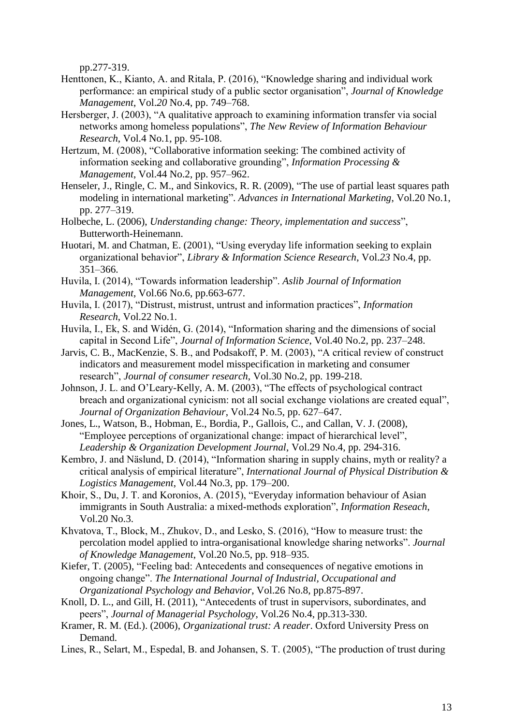pp.277-319.

- Henttonen, K., Kianto, A. and Ritala, P. (2016), "Knowledge sharing and individual work performance: an empirical study of a public sector organisation", *Journal of Knowledge Management*, Vol.*20* No.4, pp. 749–768.
- Hersberger, J. (2003), "A qualitative approach to examining information transfer via social networks among homeless populations", *The New Review of Information Behaviour Research*, Vol.4 No.1, pp. 95-108.
- Hertzum, M. (2008), "Collaborative information seeking: The combined activity of information seeking and collaborative grounding", *Information Processing & Management*, Vol.44 No.2, pp. 957–962.
- Henseler, J., Ringle, C. M., and Sinkovics, R. R. (2009), "The use of partial least squares path modeling in international marketing". *Advances in International Marketing*, Vol.20 No.1, pp. 277–319.
- Holbeche, L. (2006), *Understanding change: Theory, implementation and success*", Butterworth-Heinemann.
- Huotari, M. and Chatman, E. (2001), "Using everyday life information seeking to explain organizational behavior", *Library & Information Science Research*, Vol.*23* No.4, pp. 351–366.
- Huvila, I. (2014), "Towards information leadership". *Aslib Journal of Information Management*, Vol.66 No.6, pp.663-677.
- Huvila, I. (2017), "Distrust, mistrust, untrust and information practices", *Information Research*, Vol.22 No.1.
- Huvila, I., Ek, S. and Widén, G. (2014), "Information sharing and the dimensions of social capital in Second Life", *Journal of Information Science*, Vol.40 No.2, pp. 237–248.
- Jarvis, C. B., MacKenzie, S. B., and Podsakoff, P. M. (2003), "A critical review of construct indicators and measurement model misspecification in marketing and consumer research", *Journal of consumer research*, Vol.30 No.2, pp. 199-218.
- Johnson, J. L. and O'Leary-Kelly, A. M. (2003), "The effects of psychological contract breach and organizational cynicism: not all social exchange violations are created equal", *Journal of Organization Behaviour*, Vol.24 No.5, pp. 627–647.
- Jones, L., Watson, B., Hobman, E., Bordia, P., Gallois, C., and Callan, V. J. (2008), "Employee perceptions of organizational change: impact of hierarchical level", *Leadership & Organization Development Journal*, Vol.29 No.4, pp. 294-316.
- Kembro, J. and Näslund, D. (2014), "Information sharing in supply chains, myth or reality? a critical analysis of empirical literature", *International Journal of Physical Distribution & Logistics Management*, Vol.44 No.3, pp. 179–200.
- Khoir, S., Du, J. T. and Koronios, A. (2015), "Everyday information behaviour of Asian immigrants in South Australia: a mixed-methods exploration", *Information Reseach*, Vol.20 No.3.
- Khvatova, T., Block, M., Zhukov, D., and Lesko, S. (2016), "How to measure trust: the percolation model applied to intra-organisational knowledge sharing networks". *Journal of Knowledge Management*, Vol.20 No.5, pp. 918–935.
- Kiefer, T. (2005), "Feeling bad: Antecedents and consequences of negative emotions in ongoing change". *The International Journal of Industrial, Occupational and Organizational Psychology and Behavior*, Vol.26 No.8, pp.875-897.
- Knoll, D. L., and Gill, H. (2011), "Antecedents of trust in supervisors, subordinates, and peers", *Journal of Managerial Psychology*, Vol.26 No.4, pp.313-330.
- Kramer, R. M. (Ed.). (2006), *Organizational trust: A reader*. Oxford University Press on Demand.
- Lines, R., Selart, M., Espedal, B. and Johansen, S. T. (2005), "The production of trust during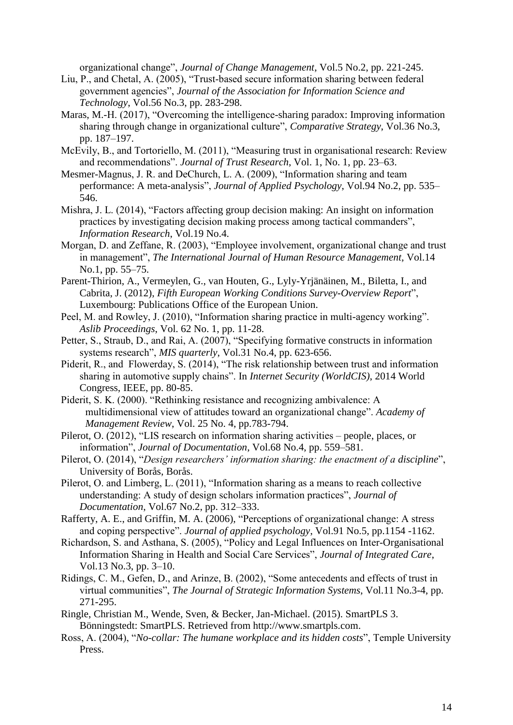organizational change", *Journal of Change Management*, Vol.5 No.2, pp. 221-245.

- Liu, P., and Chetal, A. (2005), "Trust‐based secure information sharing between federal government agencies", *Journal of the Association for Information Science and Technology*, Vol.56 No.3, pp. 283-298.
- Maras, M.-H. (2017), "Overcoming the intelligence-sharing paradox: Improving information sharing through change in organizational culture", *Comparative Strategy*, Vol.36 No.3, pp. 187–197.
- McEvily, B., and Tortoriello, M. (2011), "Measuring trust in organisational research: Review and recommendations". *Journal of Trust Research*, Vol. 1, No. 1, pp. 23–63.
- Mesmer-Magnus, J. R. and DeChurch, L. A. (2009), "Information sharing and team performance: A meta-analysis", *Journal of Applied Psychology*, Vol.94 No.2, pp. 535– 546.
- Mishra, J. L. (2014), "Factors affecting group decision making: An insight on information practices by investigating decision making process among tactical commanders", *Information Research*, Vol.19 No.4.
- Morgan, D. and Zeffane, R. (2003), "Employee involvement, organizational change and trust in management", *The International Journal of Human Resource Management*, Vol.14 No.1, pp. 55–75.
- Parent-Thirion, A., Vermeylen, G., van Houten, G., Lyly-Yrjänäinen, M., Biletta, I., and Cabrita, J. (2012), *Fifth European Working Conditions Survey-Overview Report*", Luxembourg: Publications Office of the European Union.
- Peel, M. and Rowley, J. (2010), "Information sharing practice in multi-agency working". *Aslib Proceedings*, Vol. 62 No. 1, pp. 11-28.
- Petter, S., Straub, D., and Rai, A. (2007), "Specifying formative constructs in information systems research", *MIS quarterly*, Vol.31 No.4, pp. 623-656.
- Piderit, R., and Flowerday, S. (2014), "The risk relationship between trust and information sharing in automotive supply chains". In *Internet Security (WorldCIS)*, 2014 World Congress, IEEE, pp. 80-85.
- Piderit, S. K. (2000). "Rethinking resistance and recognizing ambivalence: A multidimensional view of attitudes toward an organizational change". *Academy of Management Review*, Vol. 25 No. 4, pp.783-794.
- Pilerot, O. (2012), "LIS research on information sharing activities people, places, or information", *Journal of Documentation*, Vol.68 No.4, pp. 559–581.
- Pilerot, O. (2014), "*Design researchers' information sharing: the enactment of a discipline*", University of Borås, Borås.
- Pilerot, O. and Limberg, L. (2011), "Information sharing as a means to reach collective understanding: A study of design scholars information practices", *Journal of Documentation*, Vol.67 No.2, pp. 312–333.
- Rafferty, A. E., and Griffin, M. A. (2006), "Perceptions of organizational change: A stress and coping perspective". *Journal of applied psychology*, Vol.91 No.5, pp.1154 -1162.
- Richardson, S. and Asthana, S. (2005), "Policy and Legal Influences on Inter-Organisational Information Sharing in Health and Social Care Services", *Journal of Integrated Care*, Vol.13 No.3, pp. 3–10.
- Ridings, C. M., Gefen, D., and Arinze, B. (2002), "Some antecedents and effects of trust in virtual communities", *The Journal of Strategic Information Systems*, Vol.11 No.3-4, pp. 271-295.
- Ringle, Christian M., Wende, Sven, & Becker, Jan-Michael. (2015). SmartPLS 3. Bönningstedt: SmartPLS. Retrieved from http://www.smartpls.com.
- Ross, A. (2004), "*No-collar: The humane workplace and its hidden costs*", Temple University Press.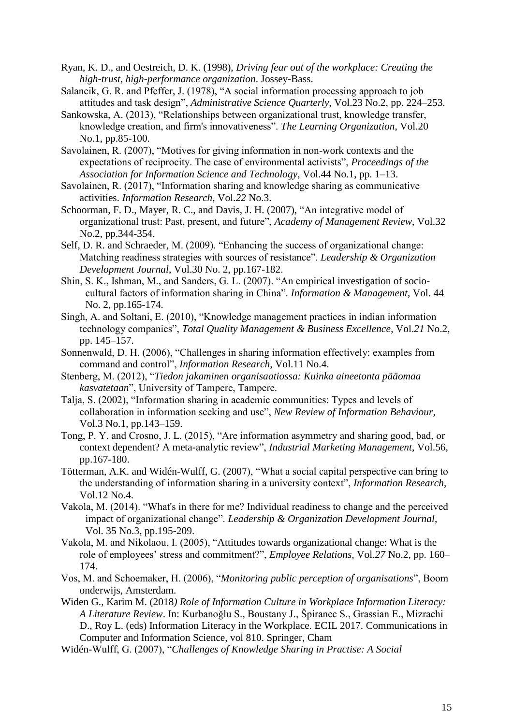- Ryan, K. D., and Oestreich, D. K. (1998), *Driving fear out of the workplace: Creating the high-trust, high-performance organization*. Jossey-Bass.
- Salancik, G. R. and Pfeffer, J. (1978), "A social information processing approach to job attitudes and task design", *Administrative Science Quarterly*, Vol.23 No.2, pp. 224–253.
- Sankowska, A. (2013), "Relationships between organizational trust, knowledge transfer, knowledge creation, and firm's innovativeness". *The Learning Organization*, Vol.20 No.1, pp.85-100.
- Savolainen, R. (2007), "Motives for giving information in non-work contexts and the expectations of reciprocity. The case of environmental activists", *Proceedings of the Association for Information Science and Technology*, Vol.44 No.1, pp. 1–13.
- Savolainen, R. (2017), "Information sharing and knowledge sharing as communicative activities. *Information Research*, Vol.*22* No.3.
- Schoorman, F. D., Mayer, R. C., and Davis, J. H. (2007), "An integrative model of organizational trust: Past, present, and future", *Academy of Management Review*, Vol.32 No.2, pp.344-354.
- Self, D. R. and Schraeder, M. (2009). "Enhancing the success of organizational change: Matching readiness strategies with sources of resistance". *Leadership & Organization Development Journal*, Vol.30 No. 2, pp.167-182.
- Shin, S. K., Ishman, M., and Sanders, G. L. (2007). "An empirical investigation of sociocultural factors of information sharing in China". *Information & Management*, Vol. 44 No. 2, pp.165-174.
- Singh, A. and Soltani, E. (2010), "Knowledge management practices in indian information technology companies", *Total Quality Management & Business Excellence*, Vol.*21* No.2, pp. 145–157.
- Sonnenwald, D. H. (2006), "Challenges in sharing information effectively: examples from command and control", *Information Research*, Vol.11 No.4.
- Stenberg, M. (2012), "*Tiedon jakaminen organisaatiossa: Kuinka aineetonta pääomaa kasvatetaan*", University of Tampere, Tampere.
- Talja, S. (2002), "Information sharing in academic communities: Types and levels of collaboration in information seeking and use", *New Review of Information Behaviour*, Vol.3 No.1, pp.143–159.
- Tong, P. Y. and Crosno, J. L. (2015), "Are information asymmetry and sharing good, bad, or context dependent? A meta-analytic review", *Industrial Marketing Management*, Vol.56, pp.167-180.
- Tötterman, A.K. and Widén-Wulff, G. (2007), "What a social capital perspective can bring to the understanding of information sharing in a university context", *Information Research*, Vol.12 No.4.
- Vakola, M. (2014). "What's in there for me? Individual readiness to change and the perceived impact of organizational change". *Leadership & Organization Development Journal*, Vol. 35 No.3, pp.195-209.
- Vakola, M. and Nikolaou, I. (2005), "Attitudes towards organizational change: What is the role of employees' stress and commitment?", *Employee Relations*, Vol.*27* No.2, pp. 160– 174.
- Vos, M. and Schoemaker, H. (2006), "*Monitoring public perception of organisations*", Boom onderwijs, Amsterdam.
- Widen G., Karim M. (2018*) Role of Information Culture in Workplace Information Literacy: A Literature Review*. In: Kurbanoğlu S., Boustany J., Špiranec S., Grassian E., Mizrachi D., Roy L. (eds) Information Literacy in the Workplace. ECIL 2017. Communications in Computer and Information Science, vol 810. Springer, Cham
- Widén-Wulff, G. (2007), "*Challenges of Knowledge Sharing in Practise: A Social*